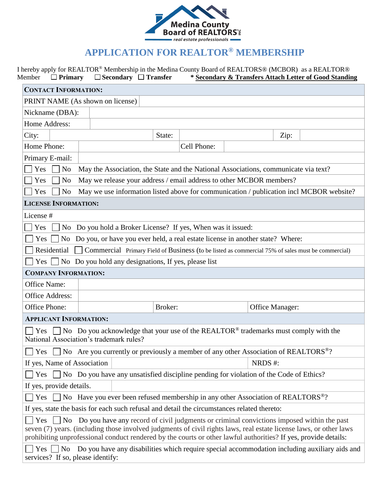

## **APPLICATION FOR REALTOR® MEMBERSHIP**

I hereby apply for REALTOR® Membership in the Medina County Board of REALTORS® (MCBOR)as a REALTOR® Member **Primary Secondary Transfer \* Secondary & Transfers Attach Letter of Good Standing**

| <b>CONTACT INFORMATION:</b>                                                                                                                                                                                                                                                                                                                    |                                                                                     |  |         |             |         |                 |  |  |
|------------------------------------------------------------------------------------------------------------------------------------------------------------------------------------------------------------------------------------------------------------------------------------------------------------------------------------------------|-------------------------------------------------------------------------------------|--|---------|-------------|---------|-----------------|--|--|
| PRINT NAME (As shown on license)                                                                                                                                                                                                                                                                                                               |                                                                                     |  |         |             |         |                 |  |  |
| Nickname (DBA):                                                                                                                                                                                                                                                                                                                                |                                                                                     |  |         |             |         |                 |  |  |
| Home Address:                                                                                                                                                                                                                                                                                                                                  |                                                                                     |  |         |             |         |                 |  |  |
| City:                                                                                                                                                                                                                                                                                                                                          |                                                                                     |  | State:  |             |         | Zip:            |  |  |
| Home Phone:                                                                                                                                                                                                                                                                                                                                    |                                                                                     |  |         | Cell Phone: |         |                 |  |  |
| Primary E-mail:                                                                                                                                                                                                                                                                                                                                |                                                                                     |  |         |             |         |                 |  |  |
| Yes<br>N <sub>o</sub>                                                                                                                                                                                                                                                                                                                          | May the Association, the State and the National Associations, communicate via text? |  |         |             |         |                 |  |  |
| May we release your address / email address to other MCBOR members?<br>Yes<br>N <sub>o</sub>                                                                                                                                                                                                                                                   |                                                                                     |  |         |             |         |                 |  |  |
| May we use information listed above for communication / publication incl MCBOR website?<br>Yes<br>N <sub>o</sub>                                                                                                                                                                                                                               |                                                                                     |  |         |             |         |                 |  |  |
| <b>LICENSE INFORMATION:</b>                                                                                                                                                                                                                                                                                                                    |                                                                                     |  |         |             |         |                 |  |  |
| License #                                                                                                                                                                                                                                                                                                                                      |                                                                                     |  |         |             |         |                 |  |  |
| No Do you hold a Broker License? If yes, When was it issued:<br>Yes                                                                                                                                                                                                                                                                            |                                                                                     |  |         |             |         |                 |  |  |
| No Do you, or have you ever held, a real estate license in another state? Where:<br>Yes                                                                                                                                                                                                                                                        |                                                                                     |  |         |             |         |                 |  |  |
| Residential<br>Commercial Primary Field of Business (to be listed as commercial 75% of sales must be commercial)                                                                                                                                                                                                                               |                                                                                     |  |         |             |         |                 |  |  |
| No Do you hold any designations, If yes, please list<br>Yes                                                                                                                                                                                                                                                                                    |                                                                                     |  |         |             |         |                 |  |  |
| <b>COMPANY INFORMATION:</b>                                                                                                                                                                                                                                                                                                                    |                                                                                     |  |         |             |         |                 |  |  |
| <b>Office Name:</b>                                                                                                                                                                                                                                                                                                                            |                                                                                     |  |         |             |         |                 |  |  |
| <b>Office Address:</b>                                                                                                                                                                                                                                                                                                                         |                                                                                     |  |         |             |         |                 |  |  |
| Office Phone:                                                                                                                                                                                                                                                                                                                                  |                                                                                     |  | Broker: |             |         | Office Manager: |  |  |
| <b>APPLICANT INFORMATION:</b>                                                                                                                                                                                                                                                                                                                  |                                                                                     |  |         |             |         |                 |  |  |
| No Do you acknowledge that your use of the REALTOR <sup>®</sup> trademarks must comply with the<br>Yes<br>National Association's trademark rules?                                                                                                                                                                                              |                                                                                     |  |         |             |         |                 |  |  |
| No Are you currently or previously a member of any other Association of REALTORS <sup>®</sup> ?<br>Yes                                                                                                                                                                                                                                         |                                                                                     |  |         |             |         |                 |  |  |
| If yes, Name of Association                                                                                                                                                                                                                                                                                                                    |                                                                                     |  |         |             | NRDS #: |                 |  |  |
| No Do you have any unsatisfied discipline pending for violation of the Code of Ethics?<br>Yes                                                                                                                                                                                                                                                  |                                                                                     |  |         |             |         |                 |  |  |
| If yes, provide details.                                                                                                                                                                                                                                                                                                                       |                                                                                     |  |         |             |         |                 |  |  |
| No Have you ever been refused membership in any other Association of REALTORS <sup>®</sup> ?<br>Yes                                                                                                                                                                                                                                            |                                                                                     |  |         |             |         |                 |  |  |
| If yes, state the basis for each such refusal and detail the circumstances related thereto:                                                                                                                                                                                                                                                    |                                                                                     |  |         |             |         |                 |  |  |
| No Do you have any record of civil judgments or criminal convictions imposed within the past<br> Yes <br>seven (7) years. (including those involved judgments of civil rights laws, real estate license laws, or other laws<br>prohibiting unprofessional conduct rendered by the courts or other lawful authorities? If yes, provide details: |                                                                                     |  |         |             |         |                 |  |  |
| $Yes \perp No$ Do you have any disabilities which require special accommodation including auxiliary aids and<br>services? If so, please identify:                                                                                                                                                                                              |                                                                                     |  |         |             |         |                 |  |  |